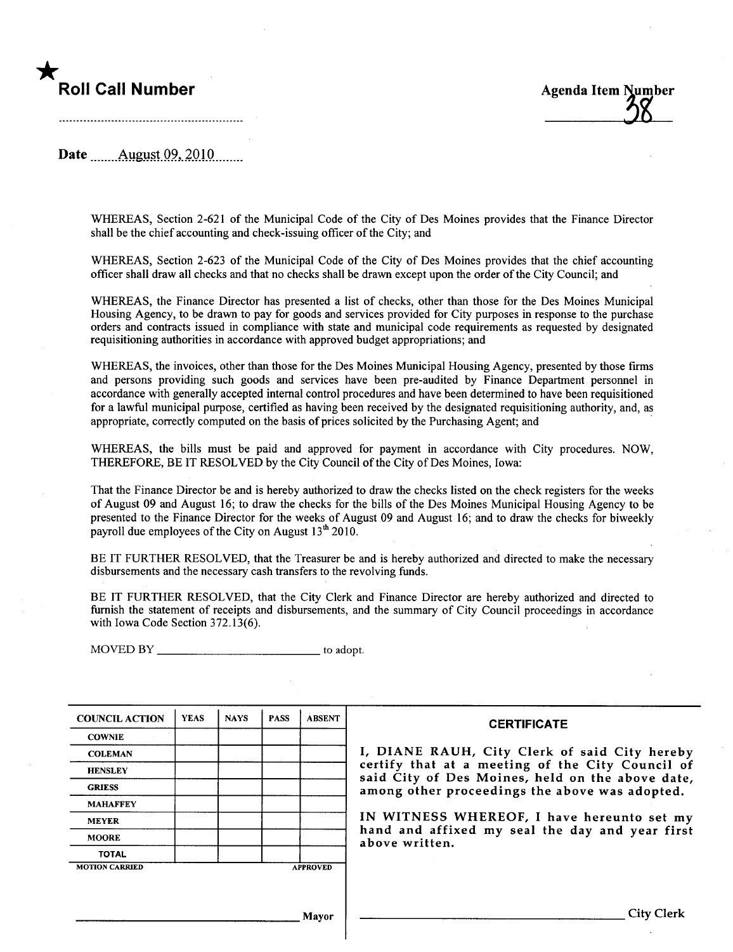# \*



Date **August** 09, 2010

WHEREAS, Section 2-621 of the Municipal Code of the City of Des Moines provides that the Finance Director shall be the chief accounting and check-issuing officer of the City; and

WHEREAS, Section 2-623 of the Municipal Code of the City of Des Moines provides that the chief accounting officer shall draw all checks and that no checks shall be drawn except upon the order of the City Council; and

WHEREAS, the Finance Director has presented a list of checks, other than those for the Des Moines Municipal Housing Agency, to be drawn to pay for goods and services provided for City puroses in response to the purchase orders and contracts issued in compliance with state and municipal code requirements as requested by designated requisitioning authorities in accordance with approved budget appropriations; and

WHEREAS, the invoices, other than those for the Des Moines Municipal Housing Agency, presented by those firms and persons providing such goods and services have been pre-audited by Finance Department personnel in accordance with generally accepted internal control procedures and have been determined to have been requisitioned for a lawful municipal purose, certified as having been received by the designated requisitioning authority, and, as appropriate, correctly computed on the basis of prices solicited by the Purchasing Agent; and

WHEREAS, the bils must be paid and approved for payment in accordance with City procedures. NOW, THEREFORE, BE IT RESOLVED by the City Council of the City of Des Moines, Iowa:

That the Finance Director be and is hereby authorized to draw the checks listed on the check registers for the weeks of August 09 and August 16; to draw the checks for the bils of the Des Moines Municipal Housing Agency to be presented to the Finance Director for the weeks of August 09 and August 16; and to draw the checks for biweekly payroll due employees of the City on August  $13<sup>th</sup> 2010$ .

BE IT FURTHER RESOLVED, that the Treasurer be and is hereby authorized and directed to make the necessary disbursements and the necessary cash transfers to the revolving funds.

BE IT FURTHER RESOLVED, that the City Clerk and Finance Director are hereby authorized and directed to furnish the statement of receipts and disbursements, and the summary of City Council proceedings in accordance with Iowa Code Section 372.13(6).

MOVED BY to adopt.

| <b>COUNCIL ACTION</b> | <b>YEAS</b> | <b>NAYS</b> | <b>PASS</b>     | <b>ABSENT</b> |
|-----------------------|-------------|-------------|-----------------|---------------|
| <b>COWNIE</b>         |             |             |                 |               |
| <b>COLEMAN</b>        |             |             |                 |               |
| <b>HENSLEY</b>        |             |             |                 |               |
| <b>GRIESS</b>         |             |             |                 |               |
| <b>MAHAFFEY</b>       |             |             |                 |               |
| <b>MEYER</b>          |             |             |                 |               |
| <b>MOORE</b>          |             |             |                 |               |
| <b>TOTAL</b>          |             |             |                 |               |
| <b>MOTION CARRIED</b> |             |             | <b>APPROVED</b> |               |

#### **CERTIFICATE**

I, DIANE RAUH, City Clerk of said City hereby certify that at a meeting of the City Council of said City of Des Moines, held on the above date, among other proceedings the above was adopted.

IN WITNESS WHEREOF, I have hereunto set my hand and affixed my seal the day and year first above written.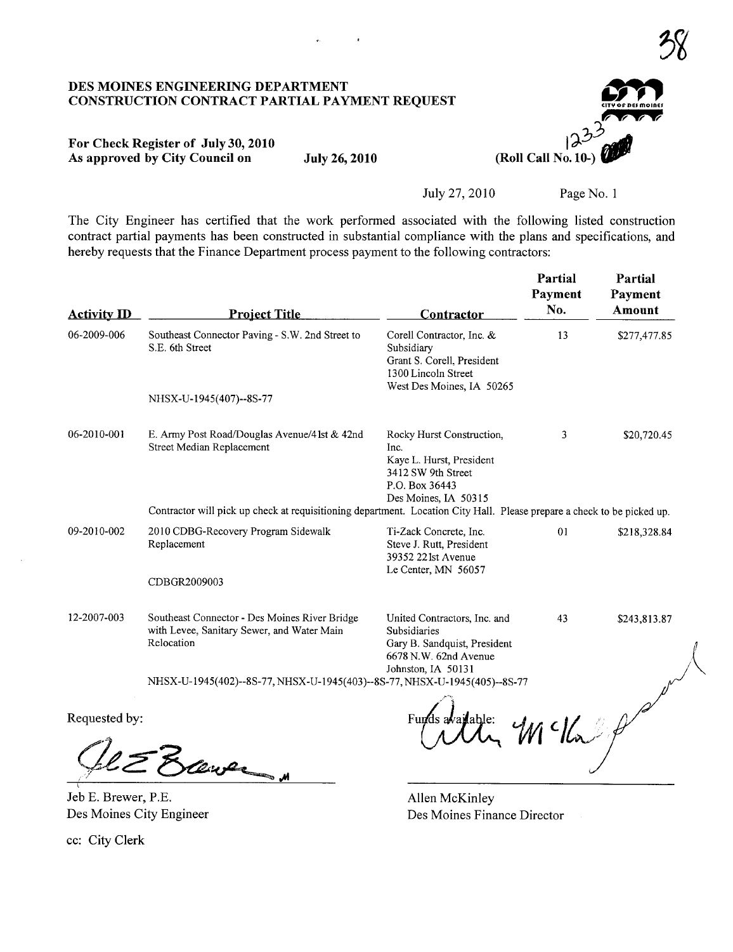## DES MOINES ENGINEERING DEPARTMENT<br>CONSTRUCTION CONTRACT PARTIAL PAYMENT REQUEST

### CITY OF DES MOINES  $\overline{C}$  $\overline{\phantom{a}}$  ,  $\overline{\phantom{a}}$ (Roll Call No. 10)

#### For Check Register of July 30,2010 As approved by City Council on July 26, 2010

July 27,2010 Page No. i

The City Engineer has certified that the work performed associated with the following listed construction contract partial payments has been constructed in substantial compliance with the plans and specifications, and hereby requests that the Finance Department process payment to the following contractors:

| <b>Activity ID</b> | <b>Project Title</b>                                                                                                    | Contractor                                                                                                                    | Partial<br>Payment<br>No. | Partial<br>Payment<br>Amount |  |  |  |
|--------------------|-------------------------------------------------------------------------------------------------------------------------|-------------------------------------------------------------------------------------------------------------------------------|---------------------------|------------------------------|--|--|--|
| 06-2009-006        | Southeast Connector Paving - S.W. 2nd Street to<br>S.E. 6th Street                                                      | Corell Contractor, Inc. &<br>Subsidiary<br>Grant S. Corell, President<br>1300 Lincoln Street<br>West Des Moines, IA 50265     | 13                        | \$277,477.85                 |  |  |  |
|                    | NHSX-U-1945(407)--8S-77                                                                                                 |                                                                                                                               |                           |                              |  |  |  |
| 06-2010-001        | E. Army Post Road/Douglas Avenue/41st & 42nd<br>Street Median Replacement                                               | Rocky Hurst Construction,<br>Inc.<br>Kaye L. Hurst, President<br>3412 SW 9th Street<br>P.O. Box 36443<br>Des Moines, IA 50315 | 3                         | \$20,720.45                  |  |  |  |
|                    | Contractor will pick up check at requisitioning department. Location City Hall. Please prepare a check to be picked up. |                                                                                                                               |                           |                              |  |  |  |
| 09-2010-002        | 2010 CDBG-Recovery Program Sidewalk<br>Replacement                                                                      | Ti-Zack Concrete, Inc.<br>Steve J. Rutt, President<br>39352 221st Avenue<br>Le Center, MN 56057                               | 01                        | \$218,328.84                 |  |  |  |
|                    | CDBGR2009003                                                                                                            |                                                                                                                               |                           |                              |  |  |  |
| 12-2007-003        | Southeast Connector - Des Moines River Bridge<br>with Levee, Sanitary Sewer, and Water Main<br>Relocation               | United Contractors, Inc. and<br>Subsidiaries<br>Gary B. Sandquist, President<br>6678 N.W. 62nd Avenue<br>Johnston, IA 50131   | 43                        | \$243,813.87                 |  |  |  |
|                    | NHSX-U-1945(402)--8S-77, NHSX-U-1945(403)--8S-77, NHSX-U-1945(405)--8S-77                                               |                                                                                                                               |                           |                              |  |  |  |
| Requested by:      |                                                                                                                         |                                                                                                                               | M <sub>1</sub>            |                              |  |  |  |

Gle Brewer

Des Moines City Engineer

Allen McKinley Des Moines Finance Director

cc: City Clerk

 $\frac{2}{3}$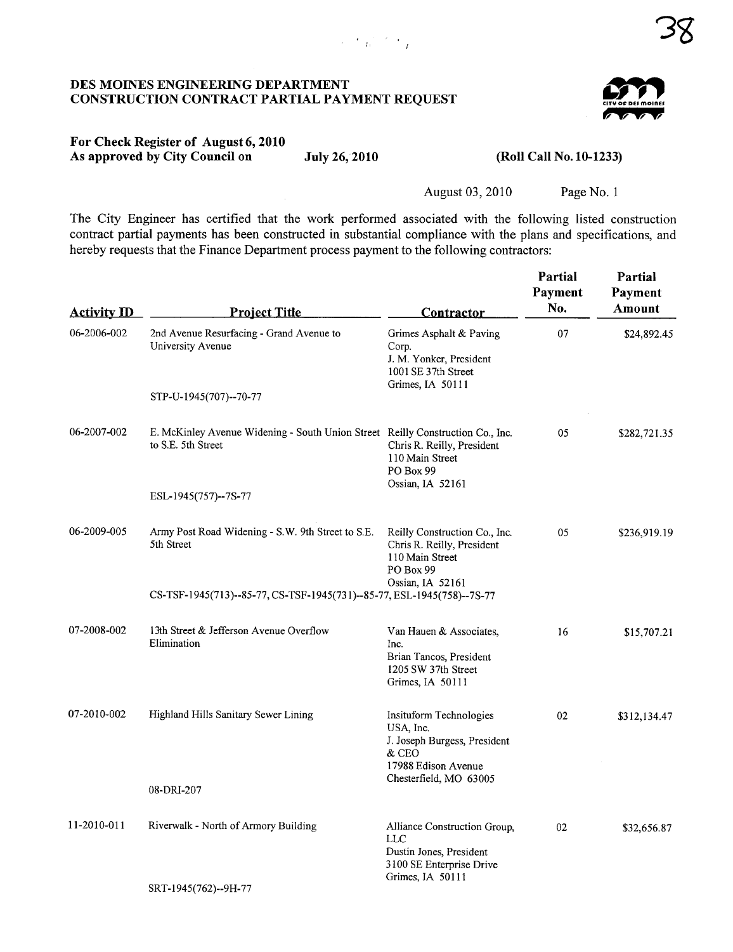#### DES MOINES ENGINEERING DEPARTMENT CONSTRUCTION CONTRACT PARTIAL PAYMENT REQUEST

#### For Check Register of August 6,2010 As approved by City Council on July 26, 2010 (Roll Call No. 10-1233)

August 03, 2010 Page No.1

The City Engineer has certified that the work performed associated with the following listed construction contract partial payments has been constructed in substantial compliance with the plans and specifications, and hereby requests that the Finance Department process payment to the following contractors:

| <b>Activity ID</b> | <b>Project Title</b>                                                                                 | <b>Contractor</b>                                                                                                              | Partial<br>Payment<br>No. | Partial<br>Payment<br>Amount |
|--------------------|------------------------------------------------------------------------------------------------------|--------------------------------------------------------------------------------------------------------------------------------|---------------------------|------------------------------|
| 06-2006-002        | 2nd Avenue Resurfacing - Grand Avenue to<br>University Avenue                                        | Grimes Asphalt & Paving<br>Corp.<br>J. M. Yonker, President<br>1001 SE 37th Street<br>Grimes, IA 50111                         | 07                        | \$24,892.45                  |
|                    | STP-U-1945(707)--70-77                                                                               |                                                                                                                                |                           |                              |
| 06-2007-002        | E. McKinley Avenue Widening - South Union Street Reilly Construction Co., Inc.<br>to S.E. 5th Street | Chris R. Reilly, President<br>110 Main Street<br>PO Box 99<br>Ossian, IA 52161                                                 | 05                        | \$282,721.35                 |
|                    | ESL-1945(757)--7S-77                                                                                 |                                                                                                                                |                           |                              |
| 06-2009-005        | Army Post Road Widening - S.W. 9th Street to S.E.<br>5th Street                                      | Reilly Construction Co., Inc.<br>Chris R. Reilly, President<br>110 Main Street<br>PO Box 99                                    | 05                        | \$236,919.19                 |
|                    | CS-TSF-1945(713)--85-77, CS-TSF-1945(731)--85-77, ESL-1945(758)--7S-77                               | Ossian, IA 52161                                                                                                               |                           |                              |
| 07-2008-002        | 13th Street & Jefferson Avenue Overflow<br>Elimination                                               | Van Hauen & Associates,<br>Inc.<br>Brian Tancos, President<br>1205 SW 37th Street<br>Grimes, IA 50111                          | 16                        | \$15,707.21                  |
| 07-2010-002        | Highland Hills Sanitary Sewer Lining                                                                 | Insituform Technologies<br>USA, Inc.<br>J. Joseph Burgess, President<br>& CEO<br>17988 Edison Avenue<br>Chesterfield, MO 63005 | 02                        | \$312,134.47                 |
|                    | 08-DRI-207                                                                                           |                                                                                                                                |                           |                              |
| 11-2010-011        | Riverwalk - North of Armory Building                                                                 | Alliance Construction Group,<br><b>LLC</b><br>Dustin Jones, President<br>3100 SE Enterprise Drive<br>Grimes, IA 50111          | 02                        | \$32,656.87                  |
|                    | SRT-1945(762)--9H-77                                                                                 |                                                                                                                                |                           |                              |

 $\mathcal{C}$  .  $\mathcal{C}$  of  $\mathcal{C}$